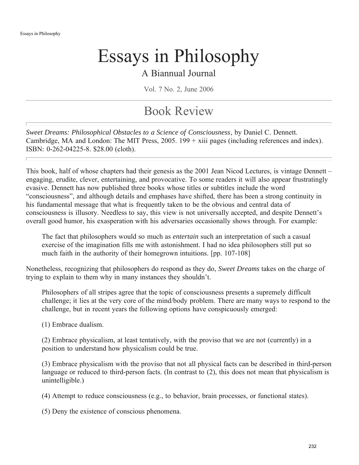### A Biannual Journal

Vol. 7 No. 2, June 2006

## Book Review

*Sweet Dreams: Philosophical Obstacles to a Science of Consciousness*, by Daniel C. Dennett. Cambridge, MA and London: The MIT Press, 2005. 199 + xiii pages (including references and index). ISBN: 0-262-04225-8. \$28.00 (cloth).

This book, half of whose chapters had their genesis as the 2001 Jean Nicod Lectures, is vintage Dennett – engaging, erudite, clever, entertaining, and provocative. To some readers it will also appear frustratingly evasive. Dennett has now published three books whose titles or subtitles include the word "consciousness", and although details and emphases have shifted, there has been a strong continuity in his fundamental message that what is frequently taken to be the obvious and central data of consciousness is illusory. Needless to say, this view is not universally accepted, and despite Dennett's overall good humor, his exasperation with his adversaries occasionally shows through. For example:

The fact that philosophers would so much as *entertain* such an interpretation of such a casual exercise of the imagination fills me with astonishment. I had no idea philosophers still put so much faith in the authority of their homegrown intuitions. [pp. 107-108]

Nonetheless, recognizing that philosophers do respond as they do, *Sweet Dreams* takes on the charge of trying to explain to them why in many instances they shouldn't.

Philosophers of all stripes agree that the topic of consciousness presents a supremely difficult challenge; it lies at the very core of the mind/body problem. There are many ways to respond to the challenge, but in recent years the following options have conspicuously emerged:

(1) Embrace dualism.

(2) Embrace physicalism, at least tentatively, with the proviso that we are not (currently) in a position to understand how physicalism could be true.

(3) Embrace physicalism with the proviso that not all physical facts can be described in third-person language or reduced to third-person facts. (In contrast to (2), this does not mean that physicalism is unintelligible.)

(4) Attempt to reduce consciousness (e.g., to behavior, brain processes, or functional states).

(5) Deny the existence of conscious phenomena.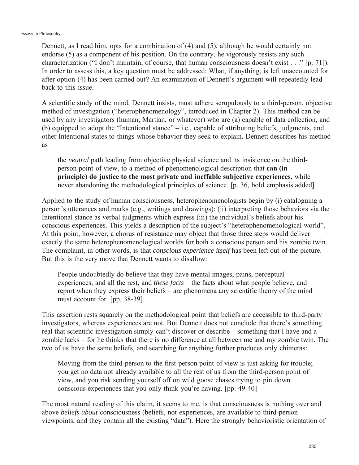Dennett, as I read him, opts for a combination of (4) and (5), although he would certainly not endorse (5) as a component of his position. On the contrary, he vigorously resists any such characterization ("I don't maintain, of course, that human consciousness doesn't exist . . ." [p. 71]). In order to assess this, a key question must be addressed: What, if anything, is left unaccounted for after option (4) has been carried out? An examination of Dennett's argument will repeatedly lead back to this issue.

A scientific study of the mind, Dennett insists, must adhere scrupulously to a third-person, objective method of investigation ("heterophenomenology", introduced in Chapter 2). This method can be used by any investigators (human, Martian, or whatever) who are (a) capable of data collection, and (b) equipped to adopt the "Intentional stance" – i.e., capable of attributing beliefs, judgments, and other Intentional states to things whose behavior they seek to explain. Dennett describes his method as

the *neutral* path leading from objective physical science and its insistence on the thirdperson point of view, to a method of phenomenological description that **can (in principle) do justice to the most private and ineffable subjective experiences**, while never abandoning the methodological principles of science. [p. 36, bold emphasis added]

Applied to the study of human consciousness, heterophenomenologists begin by (i) cataloguing a person's utterances and marks (e.g., writings and drawings); (ii) interpreting those behaviors via the Intentional stance as verbal judgments which express (iii) the individual's beliefs about his conscious experiences. This yields a description of the subject's "heterophenomenological world". At this point, however, a chorus of resistance may object that those three steps would deliver exactly the same heterophenomenological worlds for both a conscious person and his zombie twin. The complaint, in other words, is that *conscious experience itself* has been left out of the picture. But this is the very move that Dennett wants to disallow:

People undoubtedly do believe that they have mental images, pains, perceptual experiences, and all the rest, and *these facts* – the facts about what people believe, and report when they express their beliefs – are phenomena any scientific theory of the mind must account for. [pp. 38-39]

This assertion rests squarely on the methodological point that beliefs are accessible to third-party investigators, whereas experiences are not. But Dennett does not conclude that there's something real that scientific investigation simply can't discover or describe – something that I have and a zombie lacks – for he thinks that there is no difference at all between me and my zombie twin. The two of us have the same beliefs, and searching for anything further produces only chimeras:

Moving from the third-person to the first-person point of view is just asking for trouble; you get no data not already available to all the rest of us from the third-person point of view, and you risk sending yourself off on wild goose chases trying to pin down conscious experiences that you only think you're having. [pp. 49-40]

The most natural reading of this claim, it seems to me, is that consciousness is nothing over and above *beliefs about* consciousness (beliefs, not experiences, are available to third-person viewpoints, and they contain all the existing "data"). Here the strongly behavioristic orientation of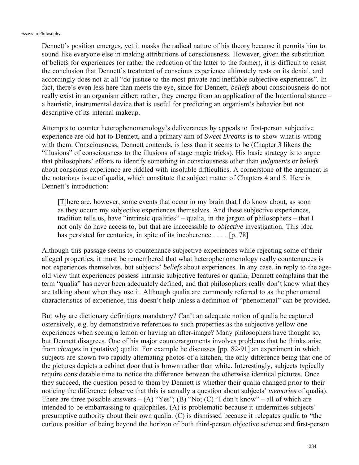Dennett's position emerges, yet it masks the radical nature of his theory because it permits him to sound like everyone else in making attributions of consciousness. However, given the substitution of beliefs for experiences (or rather the reduction of the latter to the former), it is difficult to resist the conclusion that Dennett's treatment of conscious experience ultimately rests on its denial, and accordingly does not at all "do justice to the most private and ineffable subjective experiences". In fact, there's even less here than meets the eye, since for Dennett, *beliefs* about consciousness do not really exist in an organism either; rather, they emerge from an application of the Intentional stance – a heuristic, instrumental device that is useful for predicting an organism's behavior but not descriptive of its internal makeup.

Attempts to counter heterophenomenology's deliverances by appeals to first-person subjective experience are old hat to Dennett, and a primary aim of *Sweet Dreams* is to show what is wrong with them. Consciousness, Dennett contends, is less than it seems to be (Chapter 3 likens the "illusions" of consciousness to the illusions of stage magic tricks). His basic strategy is to argue that philosophers' efforts to identify something in consciousness other than *judgments* or *beliefs* about conscious experience are riddled with insoluble difficulties. A cornerstone of the argument is the notorious issue of qualia, which constitute the subject matter of Chapters 4 and 5. Here is Dennett's introduction:

[T]here are, however, some events that occur in my brain that I do know about, as soon as they occur: my subjective experiences themselves. And these subjective experiences, tradition tells us, have "intrinsic qualities" – qualia, in the jargon of philosophers – that I not only do have access to, but that are inaccessible to *objective* investigation. This idea has persisted for centuries, in spite of its incoherence . . . . [p. 78]

Although this passage seems to countenance subjective experiences while rejecting some of their alleged properties, it must be remembered that what heterophenomenology really countenances is not experiences themselves, but subjects' *beliefs* about experiences. In any case, in reply to the ageold view that experiences possess intrinsic subjective features or qualia, Dennett complains that the term "qualia" has never been adequately defined, and that philosophers really don't know what they are talking about when they use it. Although qualia are commonly referred to as the phenomenal characteristics of experience, this doesn't help unless a definition of "phenomenal" can be provided.

But why are dictionary definitions mandatory? Can't an adequate notion of qualia be captured ostensively, e.g. by demonstrative references to such properties as the subjective yellow one experiences when seeing a lemon or having an after-image? Many philosophers have thought so, but Dennett disagrees. One of his major counterarguments involves problems that he thinks arise from *changes* in (putative) qualia. For example he discusses [pp. 82-91] an experiment in which subjects are shown two rapidly alternating photos of a kitchen, the only difference being that one of the pictures depicts a cabinet door that is brown rather than white. Interestingly, subjects typically require considerable time to notice the difference between the otherwise identical pictures. Once they succeed, the question posed to them by Dennett is whether their qualia changed prior to their noticing the difference (observe that this is actually a question about subjects' *memories* of qualia). There are three possible answers  $-(A)$  "Yes"; (B) "No; (C) "I don't know" – all of which are intended to be embarrassing to qualophiles. (A) is problematic because it undermines subjects' presumptive authority about their own qualia. (C) is dismissed because it relegates qualia to "the curious position of being beyond the horizon of both third-person objective science and first-person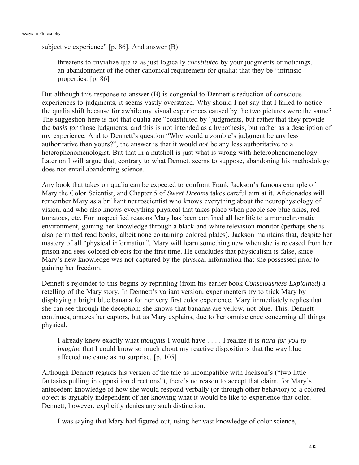```
subjective experience" [p. 86]. And answer (B)
```
threatens to trivialize qualia as just logically *constituted* by your judgments or noticings, an abandonment of the other canonical requirement for qualia: that they be "intrinsic properties. [p. 86]

But although this response to answer (B) is congenial to Dennett's reduction of conscious experiences to judgments, it seems vastly overstated. Why should I not say that I failed to notice the qualia shift because for awhile my visual experiences caused by the two pictures were the same? The suggestion here is not that qualia are "constituted by" judgments, but rather that they provide the *basis for* those judgments, and this is not intended as a hypothesis, but rather as a description of my experience. And to Dennett's question "Why would a zombie's judgment be any less authoritative than yours?", the answer is that it would *not* be any less authoritative to a heterophenomenologist. But that in a nutshell is just what is wrong with heterophenomenology. Later on I will argue that, contrary to what Dennett seems to suppose, abandoning his methodology does not entail abandoning science.

Any book that takes on qualia can be expected to confront Frank Jackson's famous example of Mary the Color Scientist, and Chapter 5 of *Sweet Dreams* takes careful aim at it. Aficionados will remember Mary as a brilliant neuroscientist who knows everything about the neurophysiology of vision, and who also knows everything physical that takes place when people see blue skies, red tomatoes, etc. For unspecified reasons Mary has been confined all her life to a monochromatic environment, gaining her knowledge through a black-and-white television monitor (perhaps she is also permitted read books, albeit none containing colored plates). Jackson maintains that, despite her mastery of all "physical information", Mary will learn something new when she is released from her prison and sees colored objects for the first time. He concludes that physicalism is false, since Mary's new knowledge was not captured by the physical information that she possessed prior to gaining her freedom.

Dennett's rejoinder to this begins by reprinting (from his earlier book *Consciousness Explained*) a retelling of the Mary story. In Dennett's variant version, experimenters try to trick Mary by displaying a bright blue banana for her very first color experience. Mary immediately replies that she can see through the deception; she knows that bananas are yellow, not blue. This, Dennett continues, amazes her captors, but as Mary explains, due to her omniscience concerning all things physical,

I already knew exactly what *thoughts* I would have . . . . I realize it is *hard for you to imagine* that I could know so much about my reactive dispositions that the way blue affected me came as no surprise. [p. 105]

Although Dennett regards his version of the tale as incompatible with Jackson's ("two little fantasies pulling in opposition directions"), there's no reason to accept that claim, for Mary's antecedent knowledge of how she would respond verbally (or through other behavior) to a colored object is arguably independent of her knowing what it would be like to experience that color. Dennett, however, explicitly denies any such distinction:

I was saying that Mary had figured out, using her vast knowledge of color science,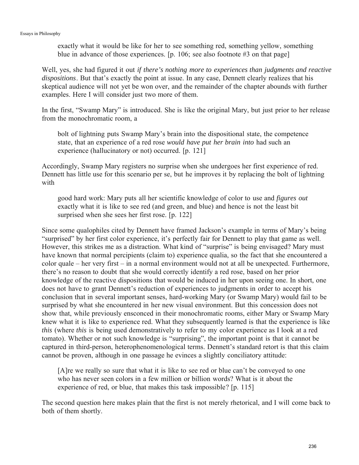exactly what it would be like for her to see something red, something yellow, something blue in advance of those experiences. [p. 106; see also footnote #3 on that page]

Well, yes, she had figured it out *if there's nothing more to experiences than judgments and reactive dispositions*. But that's exactly the point at issue. In any case, Dennett clearly realizes that his skeptical audience will not yet be won over, and the remainder of the chapter abounds with further examples. Here I will consider just two more of them.

In the first, "Swamp Mary" is introduced. She is like the original Mary, but just prior to her release from the monochromatic room, a

bolt of lightning puts Swamp Mary's brain into the dispositional state, the competence state, that an experience of a red rose *would have put her brain into* had such an experience (hallucinatory or not) occurred. [p. 121]

Accordingly, Swamp Mary registers no surprise when she undergoes her first experience of red. Dennett has little use for this scenario per se, but he improves it by replacing the bolt of lightning with

good hard work: Mary puts all her scientific knowledge of color to use and *figures out* exactly what it is like to see red (and green, and blue) and hence is not the least bit surprised when she sees her first rose. [p. 122]

Since some qualophiles cited by Dennett have framed Jackson's example in terms of Mary's being "surprised" by her first color experience, it's perfectly fair for Dennett to play that game as well. However, this strikes me as a distraction. What kind of "surprise" is being envisaged? Mary must have known that normal percipients (claim to) experience qualia, so the fact that she encountered a color quale – her very first – in a normal environment would not at all be unexpected. Furthermore, there's no reason to doubt that she would correctly identify a red rose, based on her prior knowledge of the reactive dispositions that would be induced in her upon seeing one. In short, one does not have to grant Dennett's reduction of experiences to judgments in order to accept his conclusion that in several important senses, hard-working Mary (or Swamp Mary) would fail to be surprised by what she encountered in her new visual environment. But this concession does not show that, while previously ensconced in their monochromatic rooms, either Mary or Swamp Mary knew what it is like to experience red. What they subsequently learned is that the experience is like *this* (where *this* is being used demonstratively to refer to my color experience as I look at a red tomato). Whether or not such knowledge is "surprising", the important point is that it cannot be captured in third-person, heterophenomenological terms. Dennett's standard retort is that this claim cannot be proven, although in one passage he evinces a slightly conciliatory attitude:

[A]re we really so sure that what it is like to see red or blue can't be conveyed to one who has never seen colors in a few million or billion words? What is it about the experience of red, or blue, that makes this task impossible? [p. 115]

The second question here makes plain that the first is not merely rhetorical, and I will come back to both of them shortly.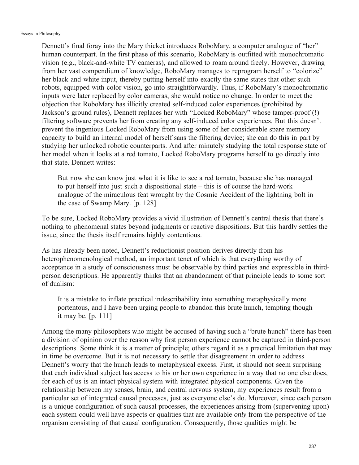Dennett's final foray into the Mary thicket introduces RoboMary, a computer analogue of "her" human counterpart. In the first phase of this scenario, RoboMary is outfitted with monochromatic vision (e.g., black-and-white TV cameras), and allowed to roam around freely. However, drawing from her vast compendium of knowledge, RoboMary manages to reprogram herself to "colorize" her black-and-white input, thereby putting herself into exactly the same states that other such robots, equipped with color vision, go into straightforwardly. Thus, if RoboMary's monochromatic inputs were later replaced by color cameras, she would notice no change. In order to meet the objection that RoboMary has illicitly created self-induced color experiences (prohibited by Jackson's ground rules), Dennett replaces her with "Locked RoboMary" whose tamper-proof (!) filtering software prevents her from creating any self-induced color experiences. But this doesn't prevent the ingenious Locked RoboMary from using some of her considerable spare memory capacity to build an internal model of herself sans the filtering device; she can do this in part by studying her unlocked robotic counterparts. And after minutely studying the total response state of her model when it looks at a red tomato, Locked RoboMary programs herself to go directly into that state. Dennett writes:

But now she can know just what it is like to see a red tomato, because she has managed to put herself into just such a dispositional state – this is of course the hard-work analogue of the miraculous feat wrought by the Cosmic Accident of the lightning bolt in the case of Swamp Mary. [p. 128]

To be sure, Locked RoboMary provides a vivid illustration of Dennett's central thesis that there's nothing to phenomenal states beyond judgments or reactive dispositions. But this hardly settles the issue, since the thesis itself remains highly contentious.

As has already been noted, Dennett's reductionist position derives directly from his heterophenomenological method, an important tenet of which is that everything worthy of acceptance in a study of consciousness must be observable by third parties and expressible in thirdperson descriptions. He apparently thinks that an abandonment of that principle leads to some sort of dualism:

It is a mistake to inflate practical indescribability into something metaphysically more portentous, and I have been urging people to abandon this brute hunch, tempting though it may be. [p. 111]

Among the many philosophers who might be accused of having such a "brute hunch" there has been a division of opinion over the reason why first person experience cannot be captured in third-person descriptions. Some think it is a matter of principle; others regard it as a practical limitation that may in time be overcome. But it is not necessary to settle that disagreement in order to address Dennett's worry that the hunch leads to metaphysical excess. First, it should not seem surprising that each individual subject has access to his or her own experience in a way that no one else does, for each of us is an intact physical system with integrated physical components. Given the relationship between my senses, brain, and central nervous system, my experiences result from a particular set of integrated causal processes, just as everyone else's do. Moreover, since each person is a unique configuration of such causal processes, the experiences arising from (supervening upon) each system could well have aspects or qualities that are available *only* from the perspective of the organism consisting of that causal configuration. Consequently, those qualities might be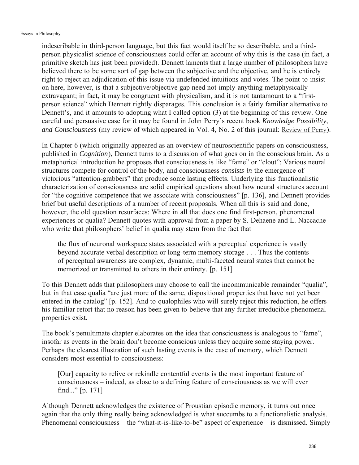indescribable in third-person language, but this fact would itself be so describable, and a thirdperson physicalist science of consciousness could offer an account of why this is the case (in fact, a primitive sketch has just been provided). Dennett laments that a large number of philosophers have believed there to be some sort of gap between the subjective and the objective, and he is entirely right to reject an adjudication of this issue via undefended intuitions and votes. The point to insist on here, however, is that a subjective/objective gap need not imply anything metaphysically extravagant; in fact, it may be congruent with physicalism, and it is not tantamount to a "firstperson science" which Dennett rightly disparages. This conclusion is a fairly familiar alternative to Dennett's, and it amounts to adopting what I called option (3) at the beginning of this review. One careful and persuasive case for it may be found in John Perry's recent book *Knowledge Possibility, and Consciousness* (my review of which appeared in Vol. 4, No. 2 of this journal: Review of Perry).

In Chapter 6 (which originally appeared as an overview of neuroscientific papers on consciousness, published in *Cognition*), Dennett turns to a discussion of what goes on in the conscious brain. As a metaphorical introduction he proposes that consciousness is like "fame" or "clout": Various neural structures compete for control of the body, and consciousness *consists in* the emergence of victorious "attention-grabbers" that produce some lasting effects. Underlying this functionalistic characterization of consciousness are solid empirical questions about how neural structures account for "the cognitive competence that we associate with consciousness" [p. 136], and Dennett provides brief but useful descriptions of a number of recent proposals. When all this is said and done, however, the old question resurfaces: Where in all that does one find first-person, phenomenal experiences or qualia? Dennett quotes with approval from a paper by S. Dehaene and L. Naccache who write that philosophers' belief in qualia may stem from the fact that

the flux of neuronal workspace states associated with a perceptual experience is vastly beyond accurate verbal description or long-term memory storage . . . Thus the contents of perceptual awareness are complex, dynamic, multi-faceted neural states that cannot be memorized or transmitted to others in their entirety. [p. 151]

To this Dennett adds that philosophers may choose to call the incommunicable remainder "qualia", but in that case qualia "are just more of the same, dispositional properties that have not yet been entered in the catalog" [p. 152]. And to qualophiles who will surely reject this reduction, he offers his familiar retort that no reason has been given to believe that any further irreducible phenomenal properties exist.

The book's penultimate chapter elaborates on the idea that consciousness is analogous to "fame", insofar as events in the brain don't become conscious unless they acquire some staying power. Perhaps the clearest illustration of such lasting events is the case of memory, which Dennett considers most essential to consciousness:

[Our] capacity to relive or rekindle contentful events is the most important feature of consciousness – indeed, as close to a defining feature of consciousness as we will ever find..." [p. 171]

Although Dennett acknowledges the existence of Proustian episodic memory, it turns out once again that the only thing really being acknowledged is what succumbs to a functionalistic analysis. Phenomenal consciousness – the "what-it-is-like-to-be" aspect of experience – is dismissed. Simply